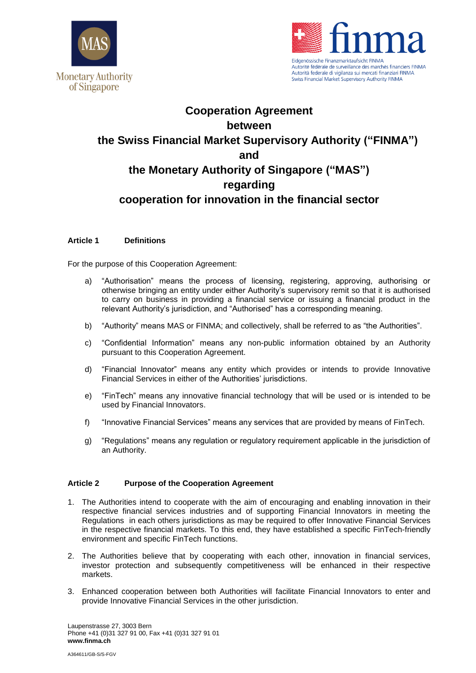



Swiss Financial Market Supervisory Authority FINMA

# **Cooperation Agreement between the Swiss Financial Market Supervisory Authority ("FINMA") and the Monetary Authority of Singapore ("MAS") regarding cooperation for innovation in the financial sector**

## **Article 1 Definitions**

For the purpose of this Cooperation Agreement:

- a) "Authorisation" means the process of licensing, registering, approving, authorising or otherwise bringing an entity under either Authority's supervisory remit so that it is authorised to carry on business in providing a financial service or issuing a financial product in the relevant Authority's jurisdiction, and "Authorised" has a corresponding meaning.
- b) "Authority" means MAS or FINMA; and collectively, shall be referred to as "the Authorities".
- c) "Confidential Information" means any non-public information obtained by an Authority pursuant to this Cooperation Agreement.
- d) "Financial Innovator" means any entity which provides or intends to provide Innovative Financial Services in either of the Authorities' jurisdictions.
- e) "FinTech" means any innovative financial technology that will be used or is intended to be used by Financial Innovators.
- f) "Innovative Financial Services" means any services that are provided by means of FinTech.
- g) "Regulations" means any regulation or regulatory requirement applicable in the jurisdiction of an Authority.

## **Article 2 Purpose of the Cooperation Agreement**

- 1. The Authorities intend to cooperate with the aim of encouraging and enabling innovation in their respective financial services industries and of supporting Financial Innovators in meeting the Regulations in each others jurisdictions as may be required to offer Innovative Financial Services in the respective financial markets. To this end, they have established a specific FinTech-friendly environment and specific FinTech functions.
- 2. The Authorities believe that by cooperating with each other, innovation in financial services, investor protection and subsequently competitiveness will be enhanced in their respective markets.
- 3. Enhanced cooperation between both Authorities will facilitate Financial Innovators to enter and provide Innovative Financial Services in the other jurisdiction.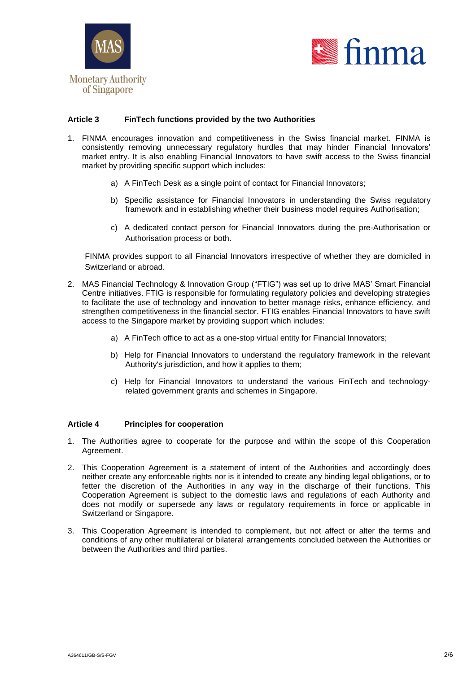



## **Article 3 FinTech functions provided by the two Authorities**

- 1. FINMA encourages innovation and competitiveness in the Swiss financial market. FINMA is consistently removing unnecessary regulatory hurdles that may hinder Financial Innovators' market entry. It is also enabling Financial Innovators to have swift access to the Swiss financial market by providing specific support which includes:
	- a) A FinTech Desk as a single point of contact for Financial Innovators;
	- b) Specific assistance for Financial Innovators in understanding the Swiss regulatory framework and in establishing whether their business model requires Authorisation;
	- c) A dedicated contact person for Financial Innovators during the pre-Authorisation or Authorisation process or both.

FINMA provides support to all Financial Innovators irrespective of whether they are domiciled in Switzerland or abroad.

- 2. MAS Financial Technology & Innovation Group ("FTIG") was set up to drive MAS' Smart Financial Centre initiatives. FTIG is responsible for formulating regulatory policies and developing strategies to facilitate the use of technology and innovation to better manage risks, enhance efficiency, and strengthen competitiveness in the financial sector. FTIG enables Financial Innovators to have swift access to the Singapore market by providing support which includes:
	- a) A FinTech office to act as a one-stop virtual entity for Financial Innovators;
	- b) Help for Financial Innovators to understand the regulatory framework in the relevant Authority's jurisdiction, and how it applies to them;
	- c) Help for Financial Innovators to understand the various FinTech and technologyrelated government grants and schemes in Singapore.

### **Article 4 Principles for cooperation**

- 1. The Authorities agree to cooperate for the purpose and within the scope of this Cooperation Agreement.
- 2. This Cooperation Agreement is a statement of intent of the Authorities and accordingly does neither create any enforceable rights nor is it intended to create any binding legal obligations, or to fetter the discretion of the Authorities in any way in the discharge of their functions. This Cooperation Agreement is subject to the domestic laws and regulations of each Authority and does not modify or supersede any laws or regulatory requirements in force or applicable in Switzerland or Singapore.
- 3. This Cooperation Agreement is intended to complement, but not affect or alter the terms and conditions of any other multilateral or bilateral arrangements concluded between the Authorities or between the Authorities and third parties.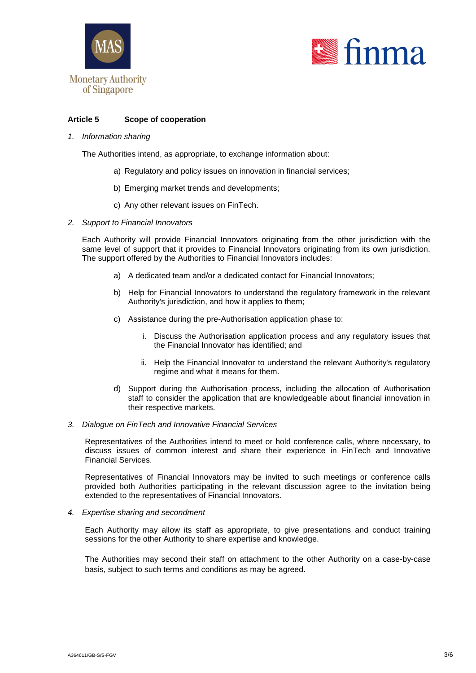



## **Article 5 Scope of cooperation**

*1. Information sharing*

The Authorities intend, as appropriate, to exchange information about:

- a) Regulatory and policy issues on innovation in financial services;
- b) Emerging market trends and developments;
- c) Any other relevant issues on FinTech.
- *2. Support to Financial Innovators*

Each Authority will provide Financial Innovators originating from the other jurisdiction with the same level of support that it provides to Financial Innovators originating from its own jurisdiction. The support offered by the Authorities to Financial Innovators includes:

- a) A dedicated team and/or a dedicated contact for Financial Innovators;
- b) Help for Financial Innovators to understand the regulatory framework in the relevant Authority's jurisdiction, and how it applies to them;
- c) Assistance during the pre-Authorisation application phase to:
	- i. Discuss the Authorisation application process and any regulatory issues that the Financial Innovator has identified; and
	- ii. Help the Financial Innovator to understand the relevant Authority's regulatory regime and what it means for them.
- d) Support during the Authorisation process, including the allocation of Authorisation staff to consider the application that are knowledgeable about financial innovation in their respective markets.

#### *3. Dialogue on FinTech and Innovative Financial Services*

Representatives of the Authorities intend to meet or hold conference calls, where necessary, to discuss issues of common interest and share their experience in FinTech and Innovative Financial Services.

Representatives of Financial Innovators may be invited to such meetings or conference calls provided both Authorities participating in the relevant discussion agree to the invitation being extended to the representatives of Financial Innovators.

#### *4. Expertise sharing and secondment*

Each Authority may allow its staff as appropriate, to give presentations and conduct training sessions for the other Authority to share expertise and knowledge.

The Authorities may second their staff on attachment to the other Authority on a case-by-case basis, subject to such terms and conditions as may be agreed.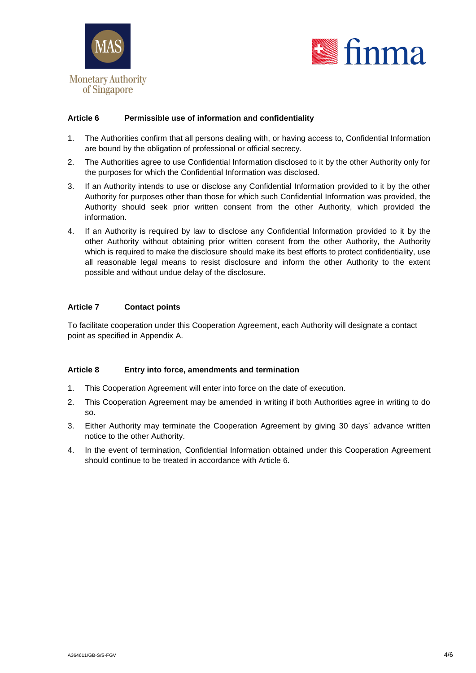



## **Article 6 Permissible use of information and confidentiality**

- 1. The Authorities confirm that all persons dealing with, or having access to, Confidential Information are bound by the obligation of professional or official secrecy.
- 2. The Authorities agree to use Confidential Information disclosed to it by the other Authority only for the purposes for which the Confidential Information was disclosed.
- 3. If an Authority intends to use or disclose any Confidential Information provided to it by the other Authority for purposes other than those for which such Confidential Information was provided, the Authority should seek prior written consent from the other Authority, which provided the information.
- 4. If an Authority is required by law to disclose any Confidential Information provided to it by the other Authority without obtaining prior written consent from the other Authority, the Authority which is required to make the disclosure should make its best efforts to protect confidentiality, use all reasonable legal means to resist disclosure and inform the other Authority to the extent possible and without undue delay of the disclosure.

## **Article 7 Contact points**

To facilitate cooperation under this Cooperation Agreement, each Authority will designate a contact point as specified in Appendix A.

## **Article 8 Entry into force, amendments and termination**

- 1. This Cooperation Agreement will enter into force on the date of execution.
- 2. This Cooperation Agreement may be amended in writing if both Authorities agree in writing to do so.
- 3. Either Authority may terminate the Cooperation Agreement by giving 30 days' advance written notice to the other Authority.
- 4. In the event of termination, Confidential Information obtained under this Cooperation Agreement should continue to be treated in accordance with Article 6.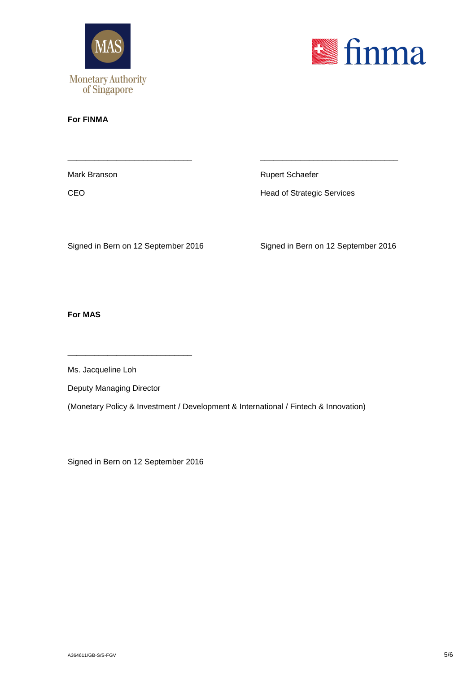



## **For FINMA**

\_\_\_\_\_\_\_\_\_\_\_\_\_\_\_\_\_\_\_\_\_\_\_\_\_\_\_\_ \_\_\_\_\_\_\_\_\_\_\_\_\_\_\_\_\_\_\_\_\_\_\_\_\_\_\_\_\_\_\_ Mark Branson **Rupert Schaefer** Rupert Schaefer CEO **CEO Head of Strategic Services** 

Signed in Bern on 12 September 2016 Signed in Bern on 12 September 2016

**For MAS**

Ms. Jacqueline Loh

Deputy Managing Director

\_\_\_\_\_\_\_\_\_\_\_\_\_\_\_\_\_\_\_\_\_\_\_\_\_\_\_\_

(Monetary Policy & Investment / Development & International / Fintech & Innovation)

Signed in Bern on 12 September 2016